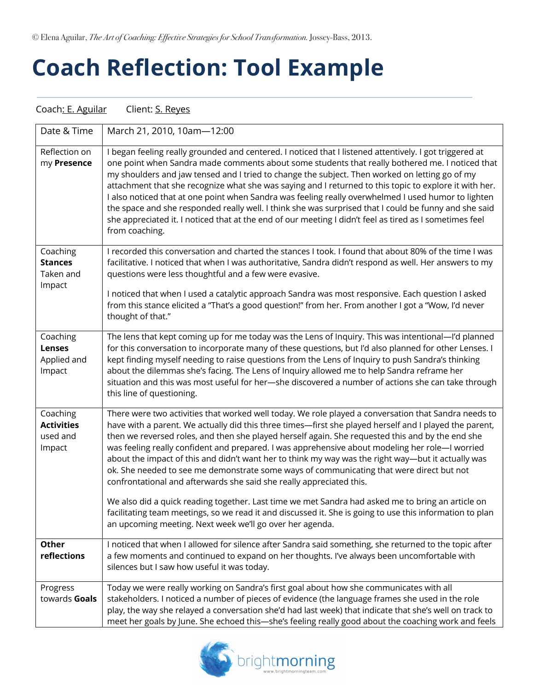© Elena Aguilar, *The Art of Coaching: Effective Strategies for School Transformation.* Jossey-Bass, 2013.

## **Coach Reflection: Tool Example**

Coach: E. Aguilar Client: S. Reyes

| Date & Time                                         | March 21, 2010, 10am-12:00                                                                                                                                                                                                                                                                                                                                                                                                                                                                                                                                                                                                                                                                                                                                                                                                                                                                                       |
|-----------------------------------------------------|------------------------------------------------------------------------------------------------------------------------------------------------------------------------------------------------------------------------------------------------------------------------------------------------------------------------------------------------------------------------------------------------------------------------------------------------------------------------------------------------------------------------------------------------------------------------------------------------------------------------------------------------------------------------------------------------------------------------------------------------------------------------------------------------------------------------------------------------------------------------------------------------------------------|
| Reflection on<br>my Presence                        | I began feeling really grounded and centered. I noticed that I listened attentively. I got triggered at<br>one point when Sandra made comments about some students that really bothered me. I noticed that<br>my shoulders and jaw tensed and I tried to change the subject. Then worked on letting go of my<br>attachment that she recognize what she was saying and I returned to this topic to explore it with her.<br>I also noticed that at one point when Sandra was feeling really overwhelmed I used humor to lighten<br>the space and she responded really well. I think she was surprised that I could be funny and she said<br>she appreciated it. I noticed that at the end of our meeting I didn't feel as tired as I sometimes feel<br>from coaching.                                                                                                                                              |
| Coaching<br><b>Stances</b><br>Taken and<br>Impact   | I recorded this conversation and charted the stances I took. I found that about 80% of the time I was<br>facilitative. I noticed that when I was authoritative, Sandra didn't respond as well. Her answers to my<br>questions were less thoughtful and a few were evasive.                                                                                                                                                                                                                                                                                                                                                                                                                                                                                                                                                                                                                                       |
|                                                     | I noticed that when I used a catalytic approach Sandra was most responsive. Each question I asked<br>from this stance elicited a "That's a good question!" from her. From another I got a "Wow, I'd never<br>thought of that."                                                                                                                                                                                                                                                                                                                                                                                                                                                                                                                                                                                                                                                                                   |
| Coaching<br><b>Lenses</b><br>Applied and<br>Impact  | The lens that kept coming up for me today was the Lens of Inquiry. This was intentional—I'd planned<br>for this conversation to incorporate many of these questions, but I'd also planned for other Lenses. I<br>kept finding myself needing to raise questions from the Lens of Inquiry to push Sandra's thinking<br>about the dilemmas she's facing. The Lens of Inquiry allowed me to help Sandra reframe her<br>situation and this was most useful for her-she discovered a number of actions she can take through<br>this line of questioning.                                                                                                                                                                                                                                                                                                                                                              |
| Coaching<br><b>Activities</b><br>used and<br>Impact | There were two activities that worked well today. We role played a conversation that Sandra needs to<br>have with a parent. We actually did this three times—first she played herself and I played the parent,<br>then we reversed roles, and then she played herself again. She requested this and by the end she<br>was feeling really confident and prepared. I was apprehensive about modeling her role-I worried<br>about the impact of this and didn't want her to think my way was the right way—but it actually was<br>ok. She needed to see me demonstrate some ways of communicating that were direct but not<br>confrontational and afterwards she said she really appreciated this.<br>We also did a quick reading together. Last time we met Sandra had asked me to bring an article on<br>facilitating team meetings, so we read it and discussed it. She is going to use this information to plan |
| <b>Other</b>                                        | an upcoming meeting. Next week we'll go over her agenda.<br>I noticed that when I allowed for silence after Sandra said something, she returned to the topic after                                                                                                                                                                                                                                                                                                                                                                                                                                                                                                                                                                                                                                                                                                                                               |
| reflections                                         | a few moments and continued to expand on her thoughts. I've always been uncomfortable with<br>silences but I saw how useful it was today.                                                                                                                                                                                                                                                                                                                                                                                                                                                                                                                                                                                                                                                                                                                                                                        |
| Progress<br>towards Goals                           | Today we were really working on Sandra's first goal about how she communicates with all<br>stakeholders. I noticed a number of pieces of evidence (the language frames she used in the role<br>play, the way she relayed a conversation she'd had last week) that indicate that she's well on track to<br>meet her goals by June. She echoed this-she's feeling really good about the coaching work and feels                                                                                                                                                                                                                                                                                                                                                                                                                                                                                                    |